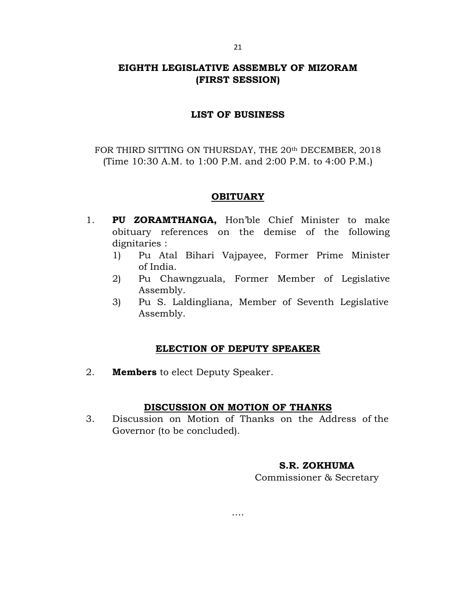# EIGHTH LEGISLATIVE ASSEMBLY OF MIZORAM (FIRST SESSION)

### LIST OF BUSINESS

FOR THIRD SITTING ON THURSDAY, THE 20<sup>th</sup> DECEMBER, 2018 (Time 10:30 A.M. to 1:00 P.M. and 2:00 P.M. to 4:00 P.M.)

## **OBITUARY**

- 1. PU ZORAMTHANGA, Hon'ble Chief Minister to make obituary references on the demise of the following dignitaries :
	- 1) Pu Atal Bihari Vajpayee, Former Prime Minister of India.
	- 2) Pu Chawngzuala, Former Member of Legislative Assembly.
	- 3) Pu S. Laldingliana, Member of Seventh Legislative Assembly.

## ELECTION OF DEPUTY SPEAKER

2. **Members** to elect Deputy Speaker.

#### DISCUSSION ON MOTION OF THANKS

3. Discussion on Motion of Thanks on the Address of the Governor (to be concluded).

….

## S.R. ZOKHUMA

Commissioner & Secretary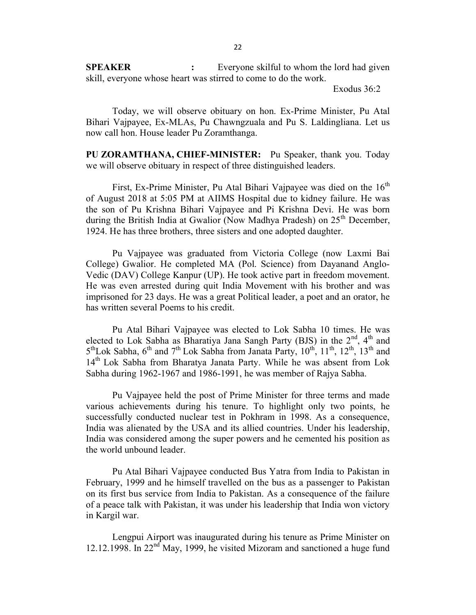**SPEAKER** : Everyone skilful to whom the lord had given skill, everyone whose heart was stirred to come to do the work.

Exodus 36:2

 Today, we will observe obituary on hon. Ex-Prime Minister, Pu Atal Bihari Vajpayee, Ex-MLAs, Pu Chawngzuala and Pu S. Laldingliana. Let us now call hon. House leader Pu Zoramthanga.

PU ZORAMTHANA, CHIEF-MINISTER: Pu Speaker, thank you. Today we will observe obituary in respect of three distinguished leaders.

First, Ex-Prime Minister, Pu Atal Bihari Vajpayee was died on the  $16<sup>th</sup>$ of August 2018 at 5:05 PM at AIIMS Hospital due to kidney failure. He was the son of Pu Krishna Bihari Vajpayee and Pi Krishna Devi. He was born during the British India at Gwalior (Now Madhya Pradesh) on  $25<sup>th</sup>$  December, 1924. He has three brothers, three sisters and one adopted daughter.

 Pu Vajpayee was graduated from Victoria College (now Laxmi Bai College) Gwalior. He completed MA (Pol. Science) from Dayanand Anglo-Vedic (DAV) College Kanpur (UP). He took active part in freedom movement. He was even arrested during quit India Movement with his brother and was imprisoned for 23 days. He was a great Political leader, a poet and an orator, he has written several Poems to his credit.

 Pu Atal Bihari Vajpayee was elected to Lok Sabha 10 times. He was elected to Lok Sabha as Bharatiya Jana Sangh Party (BJS) in the  $2<sup>nd</sup>$ , 4<sup>th</sup> and  $5<sup>th</sup>$ Lok Sabha,  $6<sup>th</sup>$  and  $7<sup>th</sup>$  Lok Sabha from Janata Party,  $10<sup>th</sup>$ ,  $11<sup>th</sup>$ ,  $12<sup>th</sup>$ ,  $13<sup>th</sup>$  and 14<sup>th</sup> Lok Sabha from Bharatya Janata Party. While he was absent from Lok Sabha during 1962-1967 and 1986-1991, he was member of Rajya Sabha.

 Pu Vajpayee held the post of Prime Minister for three terms and made various achievements during his tenure. To highlight only two points, he successfully conducted nuclear test in Pokhram in 1998. As a consequence, India was alienated by the USA and its allied countries. Under his leadership, India was considered among the super powers and he cemented his position as the world unbound leader.

 Pu Atal Bihari Vajpayee conducted Bus Yatra from India to Pakistan in February, 1999 and he himself travelled on the bus as a passenger to Pakistan on its first bus service from India to Pakistan. As a consequence of the failure of a peace talk with Pakistan, it was under his leadership that India won victory in Kargil war.

 Lengpui Airport was inaugurated during his tenure as Prime Minister on 12.12.1998. In 22<sup>nd</sup> May, 1999, he visited Mizoram and sanctioned a huge fund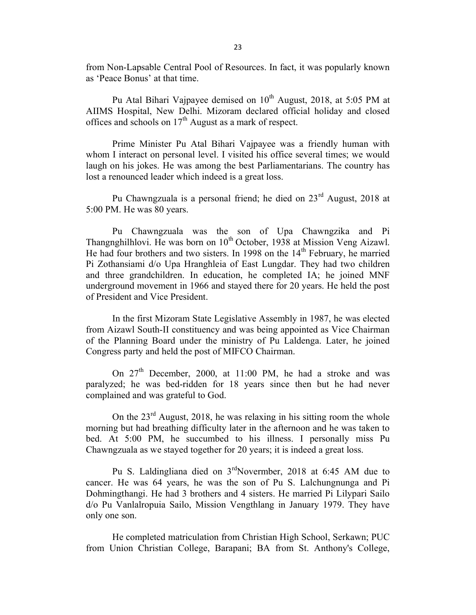from Non-Lapsable Central Pool of Resources. In fact, it was popularly known as 'Peace Bonus' at that time.

Pu Atal Bihari Vajpayee demised on  $10^{th}$  August, 2018, at 5:05 PM at AIIMS Hospital, New Delhi. Mizoram declared official holiday and closed offices and schools on  $17<sup>th</sup>$  August as a mark of respect.

 Prime Minister Pu Atal Bihari Vajpayee was a friendly human with whom I interact on personal level. I visited his office several times; we would laugh on his jokes. He was among the best Parliamentarians. The country has lost a renounced leader which indeed is a great loss.

Pu Chawngzuala is a personal friend; he died on  $23<sup>rd</sup>$  August, 2018 at 5:00 PM. He was 80 years.

 Pu Chawngzuala was the son of Upa Chawngzika and Pi Thangnghilhlovi. He was born on  $10^{th}$  October, 1938 at Mission Veng Aizawl. He had four brothers and two sisters. In 1998 on the 14<sup>th</sup> February, he married Pi Zothansiami d/o Upa Hranghleia of East Lungdar. They had two children and three grandchildren. In education, he completed IA; he joined MNF underground movement in 1966 and stayed there for 20 years. He held the post of President and Vice President.

 In the first Mizoram State Legislative Assembly in 1987, he was elected from Aizawl South-II constituency and was being appointed as Vice Chairman of the Planning Board under the ministry of Pu Laldenga. Later, he joined Congress party and held the post of MIFCO Chairman.

On  $27<sup>th</sup>$  December, 2000, at 11:00 PM, he had a stroke and was paralyzed; he was bed-ridden for 18 years since then but he had never complained and was grateful to God.

On the  $23<sup>rd</sup>$  August, 2018, he was relaxing in his sitting room the whole morning but had breathing difficulty later in the afternoon and he was taken to bed. At 5:00 PM, he succumbed to his illness. I personally miss Pu Chawngzuala as we stayed together for 20 years; it is indeed a great loss.

 Pu S. Laldingliana died on 3rdNovermber, 2018 at 6:45 AM due to cancer. He was 64 years, he was the son of Pu S. Lalchungnunga and Pi Dohmingthangi. He had 3 brothers and 4 sisters. He married Pi Lilypari Sailo d/o Pu Vanlalropuia Sailo, Mission Vengthlang in January 1979. They have only one son.

 He completed matriculation from Christian High School, Serkawn; PUC from Union Christian College, Barapani; BA from St. Anthony's College,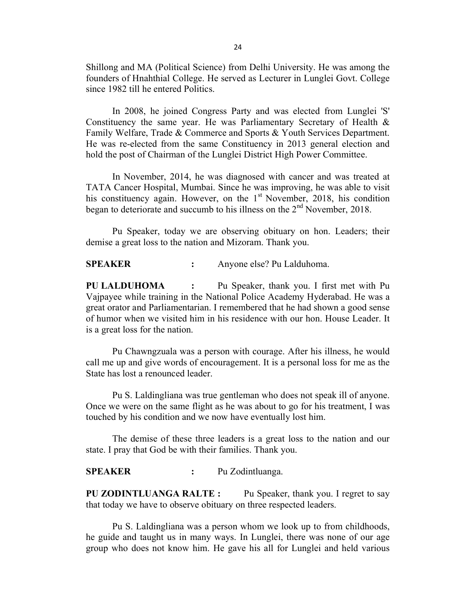Shillong and MA (Political Science) from Delhi University. He was among the founders of Hnahthial College. He served as Lecturer in Lunglei Govt. College since 1982 till he entered Politics.

 In 2008, he joined Congress Party and was elected from Lunglei 'S' Constituency the same year. He was Parliamentary Secretary of Health & Family Welfare, Trade & Commerce and Sports & Youth Services Department. He was re-elected from the same Constituency in 2013 general election and hold the post of Chairman of the Lunglei District High Power Committee.

 In November, 2014, he was diagnosed with cancer and was treated at TATA Cancer Hospital, Mumbai. Since he was improving, he was able to visit his constituency again. However, on the  $1<sup>st</sup>$  November, 2018, his condition began to deteriorate and succumb to his illness on the 2<sup>nd</sup> November, 2018.

 Pu Speaker, today we are observing obituary on hon. Leaders; their demise a great loss to the nation and Mizoram. Thank you.

SPEAKER : Anyone else? Pu Lalduhoma.

PU LALDUHOMA : Pu Speaker, thank you. I first met with Pu Vajpayee while training in the National Police Academy Hyderabad. He was a great orator and Parliamentarian. I remembered that he had shown a good sense of humor when we visited him in his residence with our hon. House Leader. It is a great loss for the nation.

 Pu Chawngzuala was a person with courage. After his illness, he would call me up and give words of encouragement. It is a personal loss for me as the State has lost a renounced leader.

 Pu S. Laldingliana was true gentleman who does not speak ill of anyone. Once we were on the same flight as he was about to go for his treatment, I was touched by his condition and we now have eventually lost him.

 The demise of these three leaders is a great loss to the nation and our state. I pray that God be with their families. Thank you.

SPEAKER : Pu Zodintluanga.

PU ZODINTLUANGA RALTE : Pu Speaker, thank you. I regret to say that today we have to observe obituary on three respected leaders.

 Pu S. Laldingliana was a person whom we look up to from childhoods, he guide and taught us in many ways. In Lunglei, there was none of our age group who does not know him. He gave his all for Lunglei and held various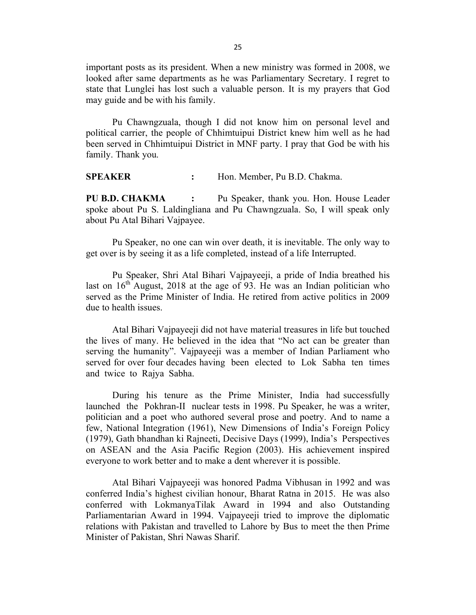important posts as its president. When a new ministry was formed in 2008, we looked after same departments as he was Parliamentary Secretary. I regret to state that Lunglei has lost such a valuable person. It is my prayers that God may guide and be with his family.

 Pu Chawngzuala, though I did not know him on personal level and political carrier, the people of Chhimtuipui District knew him well as he had been served in Chhimtuipui District in MNF party. I pray that God be with his family. Thank you.

SPEAKER : Hon. Member, Pu B.D. Chakma.

PU B.D. CHAKMA : Pu Speaker, thank you. Hon. House Leader spoke about Pu S. Laldingliana and Pu Chawngzuala. So, I will speak only about Pu Atal Bihari Vajpayee.

 Pu Speaker, no one can win over death, it is inevitable. The only way to get over is by seeing it as a life completed, instead of a life Interrupted.

 Pu Speaker, Shri Atal Bihari Vajpayeeji, a pride of India breathed his last on  $16<sup>th</sup>$  August, 2018 at the age of 93. He was an Indian politician who served as the Prime Minister of India. He retired from active politics in 2009 due to health issues.

 Atal Bihari Vajpayeeji did not have material treasures in life but touched the lives of many. He believed in the idea that "No act can be greater than serving the humanity". Vajpayeeji was a member of Indian Parliament who served for over four decades having been elected to Lok Sabha ten times and twice to Rajya Sabha.

 During his tenure as the Prime Minister, India had successfully launched the Pokhran-II nuclear tests in 1998. Pu Speaker, he was a writer, politician and a poet who authored several prose and poetry. And to name a few, National Integration (1961), New Dimensions of India's Foreign Policy (1979), Gath bhandhan ki Rajneeti, Decisive Days (1999), India's Perspectives on ASEAN and the Asia Pacific Region (2003). His achievement inspired everyone to work better and to make a dent wherever it is possible.

 Atal Bihari Vajpayeeji was honored Padma Vibhusan in 1992 and was conferred India's highest civilian honour, Bharat Ratna in 2015. He was also conferred with LokmanyaTilak Award in 1994 and also Outstanding Parliamentarian Award in 1994. Vajpayeeji tried to improve the diplomatic relations with Pakistan and travelled to Lahore by Bus to meet the then Prime Minister of Pakistan, Shri Nawas Sharif.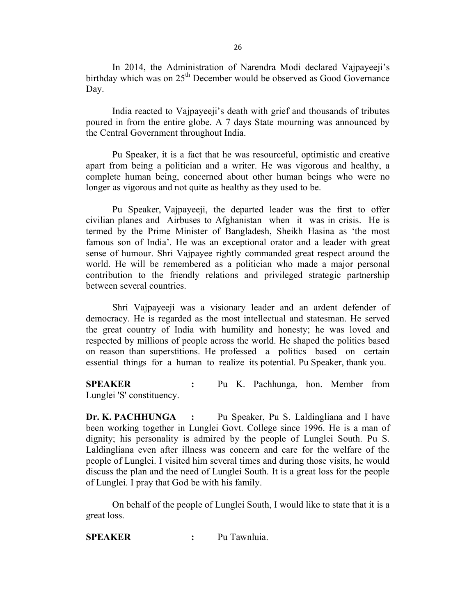In 2014, the Administration of Narendra Modi declared Vajpayeeji's birthday which was on  $25<sup>th</sup>$  December would be observed as Good Governance Day.

 India reacted to Vajpayeeji's death with grief and thousands of tributes poured in from the entire globe. A 7 days State mourning was announced by the Central Government throughout India.

 Pu Speaker, it is a fact that he was resourceful, optimistic and creative apart from being a politician and a writer. He was vigorous and healthy, a complete human being, concerned about other human beings who were no longer as vigorous and not quite as healthy as they used to be.

 Pu Speaker, Vajpayeeji, the departed leader was the first to offer civilian planes and Airbuses to Afghanistan when it was in crisis. He is termed by the Prime Minister of Bangladesh, Sheikh Hasina as 'the most famous son of India'. He was an exceptional orator and a leader with great sense of humour. Shri Vajpayee rightly commanded great respect around the world. He will be remembered as a politician who made a major personal contribution to the friendly relations and privileged strategic partnership between several countries.

 Shri Vajpayeeji was a visionary leader and an ardent defender of democracy. He is regarded as the most intellectual and statesman. He served the great country of India with humility and honesty; he was loved and respected by millions of people across the world. He shaped the politics based on reason than superstitions. He professed a politics based on certain essential things for a human to realize its potential. Pu Speaker, thank you.

SPEAKER : Pu K. Pachhunga, hon. Member from Lunglei 'S' constituency.

Dr. K. PACHHUNGA : Pu Speaker, Pu S. Laldingliana and I have been working together in Lunglei Govt. College since 1996. He is a man of dignity; his personality is admired by the people of Lunglei South. Pu S. Laldingliana even after illness was concern and care for the welfare of the people of Lunglei. I visited him several times and during those visits, he would discuss the plan and the need of Lunglei South. It is a great loss for the people of Lunglei. I pray that God be with his family.

 On behalf of the people of Lunglei South, I would like to state that it is a great loss.

SPEAKER : Pu Tawnluia.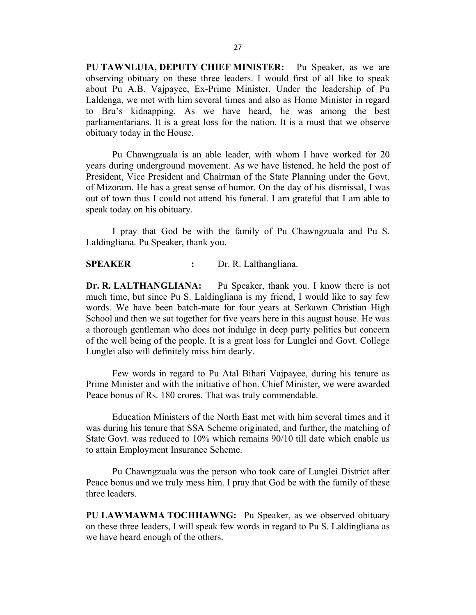PU TAWNLUIA, DEPUTY CHIEF MINISTER: Pu Speaker, as we are observing obituary on these three leaders. I would first of all like to speak about Pu A.B. Vajpayee, Ex-Prime Minister. Under the leadership of Pu Laldenga, we met with him several times and also as Home Minister in regard to Bru's kidnapping. As we have heard, he was among the best parliamentarians. It is a great loss for the nation. It is a must that we observe obituary today in the House.

 Pu Chawngzuala is an able leader, with whom I have worked for 20 years during underground movement. As we have listened, he held the post of President, Vice President and Chairman of the State Planning under the Govt. of Mizoram. He has a great sense of humor. On the day of his dismissal, I was out of town thus I could not attend his funeral. I am grateful that I am able to speak today on his obituary.

 I pray that God be with the family of Pu Chawngzuala and Pu S. Laldingliana. Pu Speaker, thank you.

SPEAKER : Dr. R. Lalthangliana.

Dr. R. LALTHANGLIANA: Pu Speaker, thank you. I know there is not much time, but since Pu S. Laldingliana is my friend, I would like to say few words. We have been batch-mate for four years at Serkawn Christian High School and then we sat together for five years here in this august house. He was a thorough gentleman who does not indulge in deep party politics but concern of the well being of the people. It is a great loss for Lunglei and Govt. College Lunglei also will definitely miss him dearly.

 Few words in regard to Pu Atal Bihari Vajpayee, during his tenure as Prime Minister and with the initiative of hon. Chief Minister, we were awarded Peace bonus of Rs. 180 crores. That was truly commendable.

 Education Ministers of the North East met with him several times and it was during his tenure that SSA Scheme originated, and further, the matching of State Govt. was reduced to 10% which remains 90/10 till date which enable us to attain Employment Insurance Scheme.

 Pu Chawngzuala was the person who took care of Lunglei District after Peace bonus and we truly mess him. I pray that God be with the family of these three leaders.

PU LAWMAWMA TOCHHAWNG: Pu Speaker, as we observed obituary on these three leaders, I will speak few words in regard to Pu S. Laldingliana as we have heard enough of the others.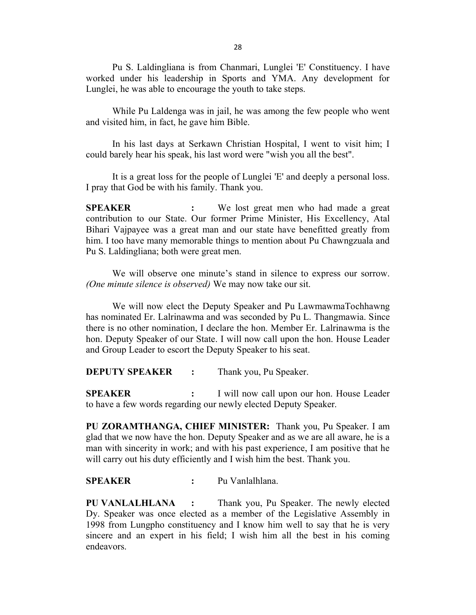Pu S. Laldingliana is from Chanmari, Lunglei 'E' Constituency. I have worked under his leadership in Sports and YMA. Any development for Lunglei, he was able to encourage the youth to take steps.

 While Pu Laldenga was in jail, he was among the few people who went and visited him, in fact, he gave him Bible.

 In his last days at Serkawn Christian Hospital, I went to visit him; I could barely hear his speak, his last word were "wish you all the best".

 It is a great loss for the people of Lunglei 'E' and deeply a personal loss. I pray that God be with his family. Thank you.

SPEAKER : We lost great men who had made a great contribution to our State. Our former Prime Minister, His Excellency, Atal Bihari Vajpayee was a great man and our state have benefitted greatly from him. I too have many memorable things to mention about Pu Chawngzuala and Pu S. Laldingliana; both were great men.

 We will observe one minute's stand in silence to express our sorrow. (One minute silence is observed) We may now take our sit.

 We will now elect the Deputy Speaker and Pu LawmawmaTochhawng has nominated Er. Lalrinawma and was seconded by Pu L. Thangmawia. Since there is no other nomination, I declare the hon. Member Er. Lalrinawma is the hon. Deputy Speaker of our State. I will now call upon the hon. House Leader and Group Leader to escort the Deputy Speaker to his seat.

**DEPUTY SPEAKER :** Thank you, Pu Speaker.

**SPEAKER** : I will now call upon our hon. House Leader to have a few words regarding our newly elected Deputy Speaker.

PU ZORAMTHANGA, CHIEF MINISTER: Thank you, Pu Speaker. I am glad that we now have the hon. Deputy Speaker and as we are all aware, he is a man with sincerity in work; and with his past experience, I am positive that he will carry out his duty efficiently and I wish him the best. Thank you.

SPEAKER : Pu Vanlalhlana.

PU VANLALHLANA : Thank you, Pu Speaker. The newly elected Dy. Speaker was once elected as a member of the Legislative Assembly in 1998 from Lungpho constituency and I know him well to say that he is very sincere and an expert in his field; I wish him all the best in his coming endeavors.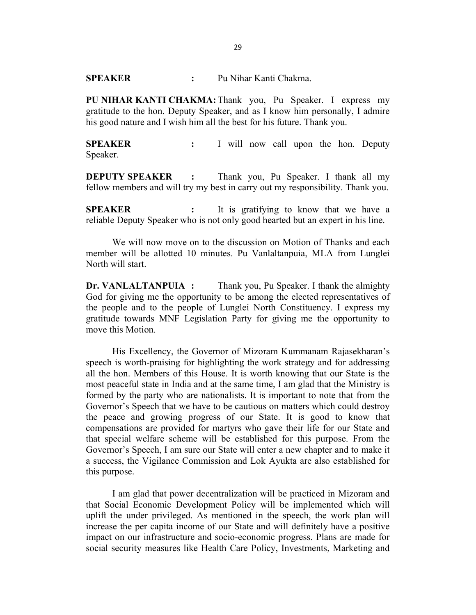SPEAKER : Pu Nihar Kanti Chakma.

PU NIHAR KANTI CHAKMA: Thank you, Pu Speaker. I express my gratitude to the hon. Deputy Speaker, and as I know him personally, I admire his good nature and I wish him all the best for his future. Thank you.

**SPEAKER** : I will now call upon the hon. Deputy Speaker.

**DEPUTY SPEAKER** : Thank you, Pu Speaker. I thank all my fellow members and will try my best in carry out my responsibility. Thank you.

SPEAKER : It is gratifying to know that we have a reliable Deputy Speaker who is not only good hearted but an expert in his line.

 We will now move on to the discussion on Motion of Thanks and each member will be allotted 10 minutes. Pu Vanlaltanpuia, MLA from Lunglei North will start.

Dr. VANLALTANPUIA : Thank you, Pu Speaker. I thank the almighty God for giving me the opportunity to be among the elected representatives of the people and to the people of Lunglei North Constituency. I express my gratitude towards MNF Legislation Party for giving me the opportunity to move this Motion.

 His Excellency, the Governor of Mizoram Kummanam Rajasekharan's speech is worth-praising for highlighting the work strategy and for addressing all the hon. Members of this House. It is worth knowing that our State is the most peaceful state in India and at the same time, I am glad that the Ministry is formed by the party who are nationalists. It is important to note that from the Governor's Speech that we have to be cautious on matters which could destroy the peace and growing progress of our State. It is good to know that compensations are provided for martyrs who gave their life for our State and that special welfare scheme will be established for this purpose. From the Governor's Speech, I am sure our State will enter a new chapter and to make it a success, the Vigilance Commission and Lok Ayukta are also established for this purpose.

 I am glad that power decentralization will be practiced in Mizoram and that Social Economic Development Policy will be implemented which will uplift the under privileged. As mentioned in the speech, the work plan will increase the per capita income of our State and will definitely have a positive impact on our infrastructure and socio-economic progress. Plans are made for social security measures like Health Care Policy, Investments, Marketing and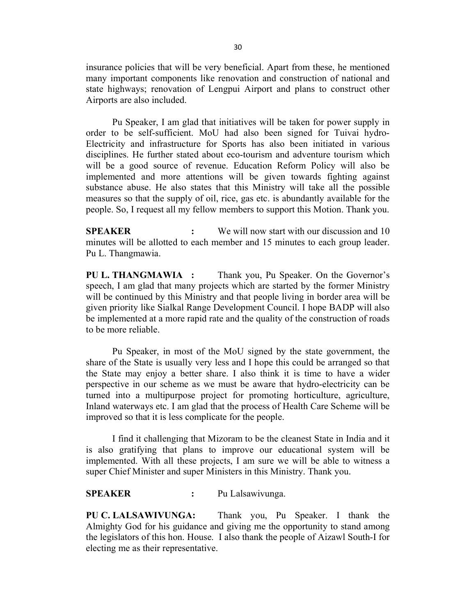insurance policies that will be very beneficial. Apart from these, he mentioned many important components like renovation and construction of national and state highways; renovation of Lengpui Airport and plans to construct other Airports are also included.

 Pu Speaker, I am glad that initiatives will be taken for power supply in order to be self-sufficient. MoU had also been signed for Tuivai hydro-Electricity and infrastructure for Sports has also been initiated in various disciplines. He further stated about eco-tourism and adventure tourism which will be a good source of revenue. Education Reform Policy will also be implemented and more attentions will be given towards fighting against substance abuse. He also states that this Ministry will take all the possible measures so that the supply of oil, rice, gas etc. is abundantly available for the people. So, I request all my fellow members to support this Motion. Thank you.

SPEAKER : We will now start with our discussion and 10 minutes will be allotted to each member and 15 minutes to each group leader. Pu L. Thangmawia.

PU L. THANGMAWIA : Thank you, Pu Speaker. On the Governor's speech, I am glad that many projects which are started by the former Ministry will be continued by this Ministry and that people living in border area will be given priority like Sialkal Range Development Council. I hope BADP will also be implemented at a more rapid rate and the quality of the construction of roads to be more reliable.

 Pu Speaker, in most of the MoU signed by the state government, the share of the State is usually very less and I hope this could be arranged so that the State may enjoy a better share. I also think it is time to have a wider perspective in our scheme as we must be aware that hydro-electricity can be turned into a multipurpose project for promoting horticulture, agriculture, Inland waterways etc. I am glad that the process of Health Care Scheme will be improved so that it is less complicate for the people.

 I find it challenging that Mizoram to be the cleanest State in India and it is also gratifying that plans to improve our educational system will be implemented. With all these projects, I am sure we will be able to witness a super Chief Minister and super Ministers in this Ministry. Thank you.

#### SPEAKER : Pu Lalsawivunga.

PU C. LALSAWIVUNGA: Thank you, Pu Speaker. I thank the Almighty God for his guidance and giving me the opportunity to stand among the legislators of this hon. House. I also thank the people of Aizawl South-I for electing me as their representative.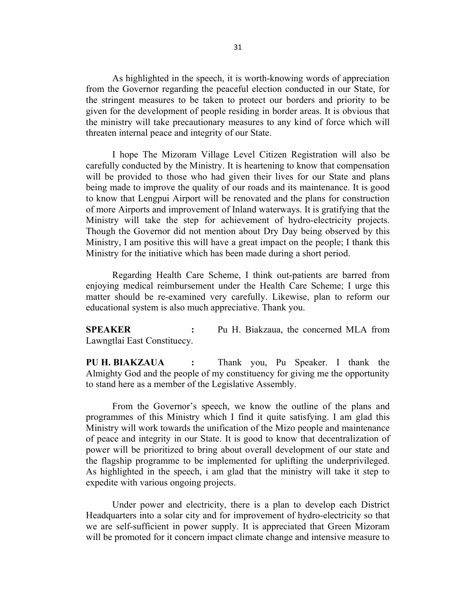As highlighted in the speech, it is worth-knowing words of appreciation from the Governor regarding the peaceful election conducted in our State, for the stringent measures to be taken to protect our borders and priority to be given for the development of people residing in border areas. It is obvious that the ministry will take precautionary measures to any kind of force which will threaten internal peace and integrity of our State.

 I hope The Mizoram Village Level Citizen Registration will also be carefully conducted by the Ministry. It is heartening to know that compensation will be provided to those who had given their lives for our State and plans being made to improve the quality of our roads and its maintenance. It is good to know that Lengpui Airport will be renovated and the plans for construction of more Airports and improvement of Inland waterways. It is gratifying that the Ministry will take the step for achievement of hydro-electricity projects. Though the Governor did not mention about Dry Day being observed by this Ministry, I am positive this will have a great impact on the people; I thank this Ministry for the initiative which has been made during a short period.

 Regarding Health Care Scheme, I think out-patients are barred from enjoying medical reimbursement under the Health Care Scheme; I urge this matter should be re-examined very carefully. Likewise, plan to reform our educational system is also much appreciative. Thank you.

SPEAKER : Pu H. Biakzaua, the concerned MLA from Lawngtlai East Constituecy.

PU H. BIAKZAUA : Thank you, Pu Speaker. I thank the Almighty God and the people of my constituency for giving me the opportunity to stand here as a member of the Legislative Assembly.

 From the Governor's speech, we know the outline of the plans and programmes of this Ministry which I find it quite satisfying. I am glad this Ministry will work towards the unification of the Mizo people and maintenance of peace and integrity in our State. It is good to know that decentralization of power will be prioritized to bring about overall development of our state and the flagship programme to be implemented for uplifting the underprivileged. As highlighted in the speech, i am glad that the ministry will take it step to expedite with various ongoing projects.

 Under power and electricity, there is a plan to develop each District Headquarters into a solar city and for improvement of hydro-electricity so that we are self-sufficient in power supply. It is appreciated that Green Mizoram will be promoted for it concern impact climate change and intensive measure to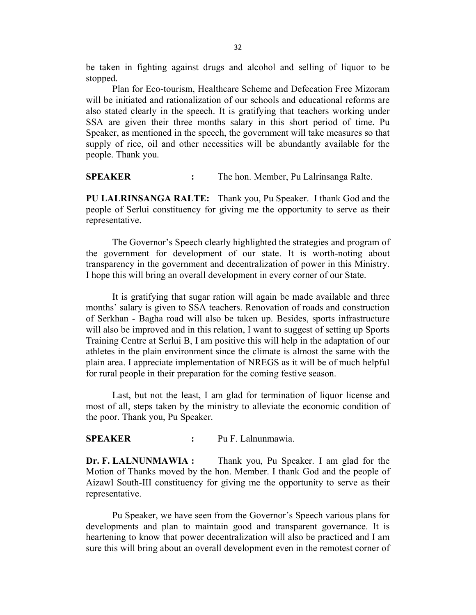be taken in fighting against drugs and alcohol and selling of liquor to be stopped.

 Plan for Eco-tourism, Healthcare Scheme and Defecation Free Mizoram will be initiated and rationalization of our schools and educational reforms are also stated clearly in the speech. It is gratifying that teachers working under SSA are given their three months salary in this short period of time. Pu Speaker, as mentioned in the speech, the government will take measures so that supply of rice, oil and other necessities will be abundantly available for the people. Thank you.

SPEAKER : The hon. Member, Pu Lalrinsanga Ralte.

PU LALRINSANGA RALTE: Thank you, Pu Speaker. I thank God and the people of Serlui constituency for giving me the opportunity to serve as their representative.

 The Governor's Speech clearly highlighted the strategies and program of the government for development of our state. It is worth-noting about transparency in the government and decentralization of power in this Ministry. I hope this will bring an overall development in every corner of our State.

 It is gratifying that sugar ration will again be made available and three months' salary is given to SSA teachers. Renovation of roads and construction of Serkhan - Bagha road will also be taken up. Besides, sports infrastructure will also be improved and in this relation, I want to suggest of setting up Sports Training Centre at Serlui B, I am positive this will help in the adaptation of our athletes in the plain environment since the climate is almost the same with the plain area. I appreciate implementation of NREGS as it will be of much helpful for rural people in their preparation for the coming festive season.

 Last, but not the least, I am glad for termination of liquor license and most of all, steps taken by the ministry to alleviate the economic condition of the poor. Thank you, Pu Speaker.

#### SPEAKER : Pu F. Lalnunmawia.

Dr. F. LALNUNMAWIA : Thank you, Pu Speaker. I am glad for the Motion of Thanks moved by the hon. Member. I thank God and the people of Aizawl South-III constituency for giving me the opportunity to serve as their representative.

 Pu Speaker, we have seen from the Governor's Speech various plans for developments and plan to maintain good and transparent governance. It is heartening to know that power decentralization will also be practiced and I am sure this will bring about an overall development even in the remotest corner of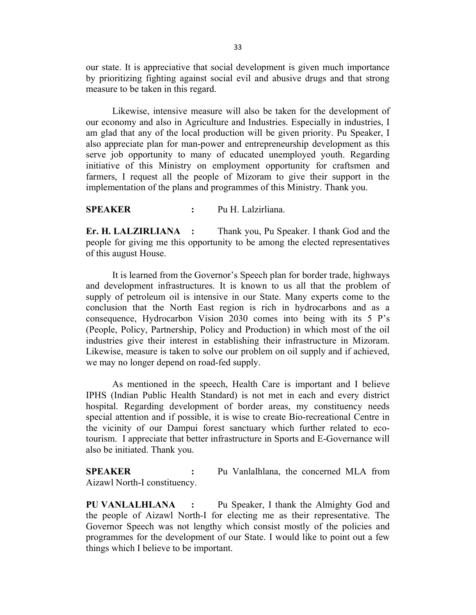our state. It is appreciative that social development is given much importance by prioritizing fighting against social evil and abusive drugs and that strong measure to be taken in this regard.

 Likewise, intensive measure will also be taken for the development of our economy and also in Agriculture and Industries. Especially in industries, I am glad that any of the local production will be given priority. Pu Speaker, I also appreciate plan for man-power and entrepreneurship development as this serve job opportunity to many of educated unemployed youth. Regarding initiative of this Ministry on employment opportunity for craftsmen and farmers, I request all the people of Mizoram to give their support in the implementation of the plans and programmes of this Ministry. Thank you.

SPEAKER : Pu H. Lalzirliana.

Er. H. LALZIRLIANA : Thank you, Pu Speaker. I thank God and the people for giving me this opportunity to be among the elected representatives of this august House.

 It is learned from the Governor's Speech plan for border trade, highways and development infrastructures. It is known to us all that the problem of supply of petroleum oil is intensive in our State. Many experts come to the conclusion that the North East region is rich in hydrocarbons and as a consequence, Hydrocarbon Vision 2030 comes into being with its 5 P's (People, Policy, Partnership, Policy and Production) in which most of the oil industries give their interest in establishing their infrastructure in Mizoram. Likewise, measure is taken to solve our problem on oil supply and if achieved, we may no longer depend on road-fed supply.

 As mentioned in the speech, Health Care is important and I believe IPHS (Indian Public Health Standard) is not met in each and every district hospital. Regarding development of border areas, my constituency needs special attention and if possible, it is wise to create Bio-recreational Centre in the vicinity of our Dampui forest sanctuary which further related to ecotourism. I appreciate that better infrastructure in Sports and E-Governance will also be initiated. Thank you.

SPEAKER : Pu Vanlalhlana, the concerned MLA from Aizawl North-I constituency.

PU VANLALHLANA : Pu Speaker, I thank the Almighty God and the people of Aizawl North-I for electing me as their representative. The Governor Speech was not lengthy which consist mostly of the policies and programmes for the development of our State. I would like to point out a few things which I believe to be important.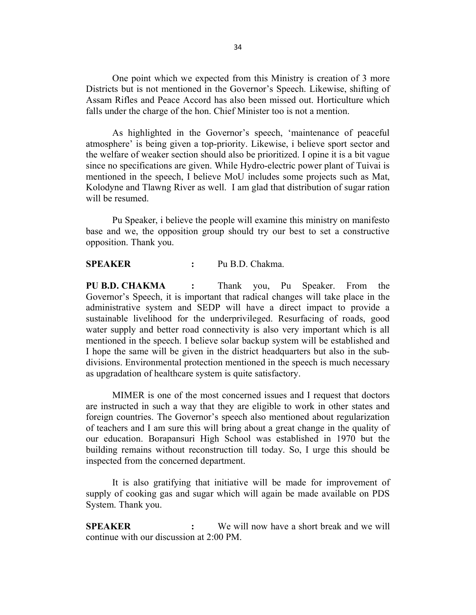One point which we expected from this Ministry is creation of 3 more Districts but is not mentioned in the Governor's Speech. Likewise, shifting of Assam Rifles and Peace Accord has also been missed out. Horticulture which falls under the charge of the hon. Chief Minister too is not a mention.

 As highlighted in the Governor's speech, 'maintenance of peaceful atmosphere' is being given a top-priority. Likewise, i believe sport sector and the welfare of weaker section should also be prioritized. I opine it is a bit vague since no specifications are given. While Hydro-electric power plant of Tuivai is mentioned in the speech, I believe MoU includes some projects such as Mat, Kolodyne and Tlawng River as well. I am glad that distribution of sugar ration will be resumed.

 Pu Speaker, i believe the people will examine this ministry on manifesto base and we, the opposition group should try our best to set a constructive opposition. Thank you.

#### SPEAKER : Pu B.D. Chakma.

PU B.D. CHAKMA : Thank you, Pu Speaker. From the Governor's Speech, it is important that radical changes will take place in the administrative system and SEDP will have a direct impact to provide a sustainable livelihood for the underprivileged. Resurfacing of roads, good water supply and better road connectivity is also very important which is all mentioned in the speech. I believe solar backup system will be established and I hope the same will be given in the district headquarters but also in the subdivisions. Environmental protection mentioned in the speech is much necessary as upgradation of healthcare system is quite satisfactory.

 MIMER is one of the most concerned issues and I request that doctors are instructed in such a way that they are eligible to work in other states and foreign countries. The Governor's speech also mentioned about regularization of teachers and I am sure this will bring about a great change in the quality of our education. Borapansuri High School was established in 1970 but the building remains without reconstruction till today. So, I urge this should be inspected from the concerned department.

 It is also gratifying that initiative will be made for improvement of supply of cooking gas and sugar which will again be made available on PDS System. Thank you.

SPEAKER : We will now have a short break and we will continue with our discussion at 2:00 PM.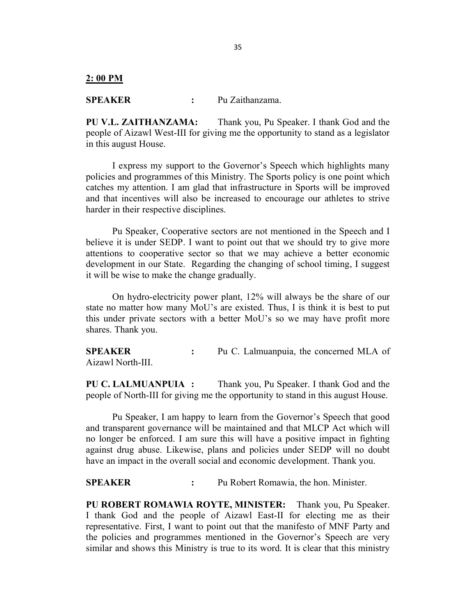2: 00 PM

SPEAKER : Pu Zaithanzama.

PU V.L. ZAITHANZAMA: Thank you, Pu Speaker. I thank God and the people of Aizawl West-III for giving me the opportunity to stand as a legislator in this august House.

 I express my support to the Governor's Speech which highlights many policies and programmes of this Ministry. The Sports policy is one point which catches my attention. I am glad that infrastructure in Sports will be improved and that incentives will also be increased to encourage our athletes to strive harder in their respective disciplines.

 Pu Speaker, Cooperative sectors are not mentioned in the Speech and I believe it is under SEDP. I want to point out that we should try to give more attentions to cooperative sector so that we may achieve a better economic development in our State. Regarding the changing of school timing, I suggest it will be wise to make the change gradually.

 On hydro-electricity power plant, 12% will always be the share of our state no matter how many MoU's are existed. Thus, I is think it is best to put this under private sectors with a better MoU's so we may have profit more shares. Thank you.

SPEAKER : Pu C. Lalmuanpuia, the concerned MLA of Aizawl North-III.

PU C. LALMUANPUIA : Thank you, Pu Speaker. I thank God and the people of North-III for giving me the opportunity to stand in this august House.

 Pu Speaker, I am happy to learn from the Governor's Speech that good and transparent governance will be maintained and that MLCP Act which will no longer be enforced. I am sure this will have a positive impact in fighting against drug abuse. Likewise, plans and policies under SEDP will no doubt have an impact in the overall social and economic development. Thank you.

SPEAKER : Pu Robert Romawia, the hon. Minister.

PU ROBERT ROMAWIA ROYTE, MINISTER: Thank you, Pu Speaker. I thank God and the people of Aizawl East-II for electing me as their representative. First, I want to point out that the manifesto of MNF Party and the policies and programmes mentioned in the Governor's Speech are very similar and shows this Ministry is true to its word. It is clear that this ministry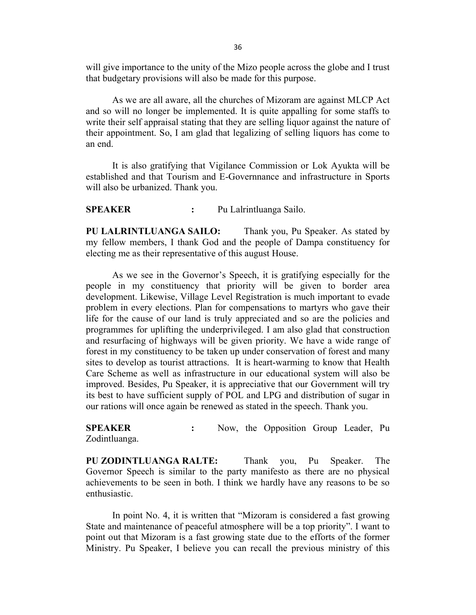will give importance to the unity of the Mizo people across the globe and I trust that budgetary provisions will also be made for this purpose.

 As we are all aware, all the churches of Mizoram are against MLCP Act and so will no longer be implemented. It is quite appalling for some staffs to write their self appraisal stating that they are selling liquor against the nature of their appointment. So, I am glad that legalizing of selling liquors has come to an end.

 It is also gratifying that Vigilance Commission or Lok Ayukta will be established and that Tourism and E-Governnance and infrastructure in Sports will also be urbanized. Thank you.

SPEAKER : Pu Lalrintluanga Sailo.

PU LALRINTLUANGA SAILO: Thank you, Pu Speaker. As stated by my fellow members, I thank God and the people of Dampa constituency for electing me as their representative of this august House.

 As we see in the Governor's Speech, it is gratifying especially for the people in my constituency that priority will be given to border area development. Likewise, Village Level Registration is much important to evade problem in every elections. Plan for compensations to martyrs who gave their life for the cause of our land is truly appreciated and so are the policies and programmes for uplifting the underprivileged. I am also glad that construction and resurfacing of highways will be given priority. We have a wide range of forest in my constituency to be taken up under conservation of forest and many sites to develop as tourist attractions. It is heart-warming to know that Health Care Scheme as well as infrastructure in our educational system will also be improved. Besides, Pu Speaker, it is appreciative that our Government will try its best to have sufficient supply of POL and LPG and distribution of sugar in our rations will once again be renewed as stated in the speech. Thank you.

SPEAKER : Now, the Opposition Group Leader, Pu Zodintluanga.

PU ZODINTLUANGA RALTE: Thank you, Pu Speaker. The Governor Speech is similar to the party manifesto as there are no physical achievements to be seen in both. I think we hardly have any reasons to be so enthusiastic.

 In point No. 4, it is written that "Mizoram is considered a fast growing State and maintenance of peaceful atmosphere will be a top priority". I want to point out that Mizoram is a fast growing state due to the efforts of the former Ministry. Pu Speaker, I believe you can recall the previous ministry of this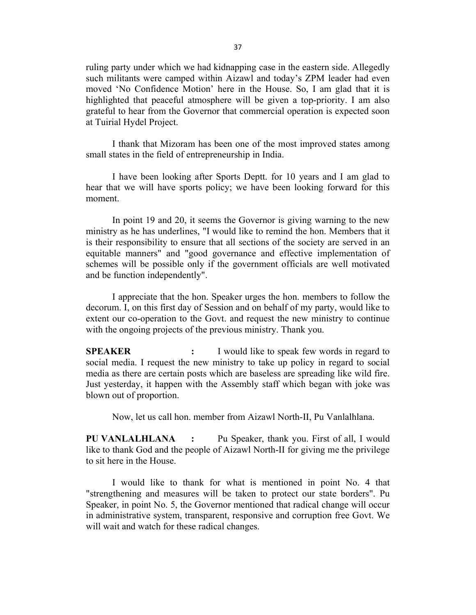ruling party under which we had kidnapping case in the eastern side. Allegedly such militants were camped within Aizawl and today's ZPM leader had even moved 'No Confidence Motion' here in the House. So, I am glad that it is highlighted that peaceful atmosphere will be given a top-priority. I am also grateful to hear from the Governor that commercial operation is expected soon at Tuirial Hydel Project.

 I thank that Mizoram has been one of the most improved states among small states in the field of entrepreneurship in India.

 I have been looking after Sports Deptt. for 10 years and I am glad to hear that we will have sports policy; we have been looking forward for this moment.

 In point 19 and 20, it seems the Governor is giving warning to the new ministry as he has underlines, "I would like to remind the hon. Members that it is their responsibility to ensure that all sections of the society are served in an equitable manners" and "good governance and effective implementation of schemes will be possible only if the government officials are well motivated and be function independently".

 I appreciate that the hon. Speaker urges the hon. members to follow the decorum. I, on this first day of Session and on behalf of my party, would like to extent our co-operation to the Govt. and request the new ministry to continue with the ongoing projects of the previous ministry. Thank you.

SPEAKER : I would like to speak few words in regard to social media. I request the new ministry to take up policy in regard to social media as there are certain posts which are baseless are spreading like wild fire. Just yesterday, it happen with the Assembly staff which began with joke was blown out of proportion.

Now, let us call hon. member from Aizawl North-II, Pu Vanlalhlana.

PU VANLALHLANA : Pu Speaker, thank you. First of all, I would like to thank God and the people of Aizawl North-II for giving me the privilege to sit here in the House.

 I would like to thank for what is mentioned in point No. 4 that "strengthening and measures will be taken to protect our state borders". Pu Speaker, in point No. 5, the Governor mentioned that radical change will occur in administrative system, transparent, responsive and corruption free Govt. We will wait and watch for these radical changes.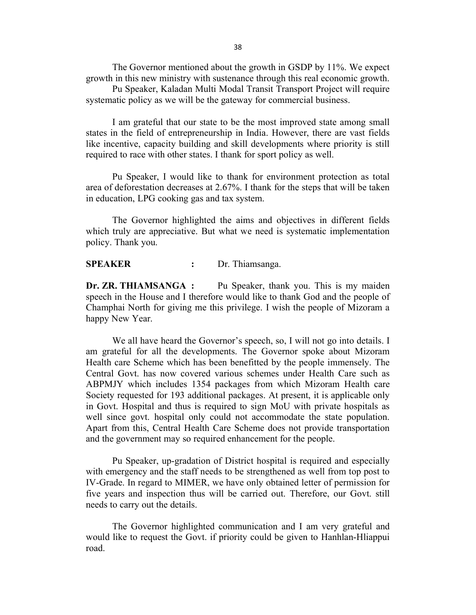The Governor mentioned about the growth in GSDP by 11%. We expect growth in this new ministry with sustenance through this real economic growth.

 Pu Speaker, Kaladan Multi Modal Transit Transport Project will require systematic policy as we will be the gateway for commercial business.

 I am grateful that our state to be the most improved state among small states in the field of entrepreneurship in India. However, there are vast fields like incentive, capacity building and skill developments where priority is still required to race with other states. I thank for sport policy as well.

 Pu Speaker, I would like to thank for environment protection as total area of deforestation decreases at 2.67%. I thank for the steps that will be taken in education, LPG cooking gas and tax system.

 The Governor highlighted the aims and objectives in different fields which truly are appreciative. But what we need is systematic implementation policy. Thank you.

#### SPEAKER : Dr. Thiamsanga.

Dr. ZR. THIAMSANGA : Pu Speaker, thank you. This is my maiden speech in the House and I therefore would like to thank God and the people of Champhai North for giving me this privilege. I wish the people of Mizoram a happy New Year.

 We all have heard the Governor's speech, so, I will not go into details. I am grateful for all the developments. The Governor spoke about Mizoram Health care Scheme which has been benefitted by the people immensely. The Central Govt. has now covered various schemes under Health Care such as ABPMJY which includes 1354 packages from which Mizoram Health care Society requested for 193 additional packages. At present, it is applicable only in Govt. Hospital and thus is required to sign MoU with private hospitals as well since govt. hospital only could not accommodate the state population. Apart from this, Central Health Care Scheme does not provide transportation and the government may so required enhancement for the people.

 Pu Speaker, up-gradation of District hospital is required and especially with emergency and the staff needs to be strengthened as well from top post to IV-Grade. In regard to MIMER, we have only obtained letter of permission for five years and inspection thus will be carried out. Therefore, our Govt. still needs to carry out the details.

 The Governor highlighted communication and I am very grateful and would like to request the Govt. if priority could be given to Hanhlan-Hliappui road.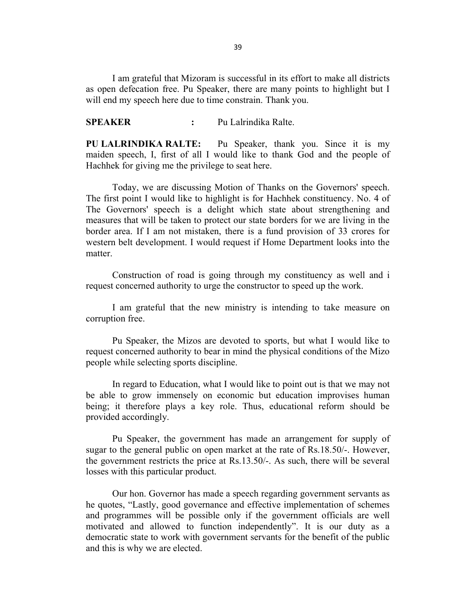I am grateful that Mizoram is successful in its effort to make all districts as open defecation free. Pu Speaker, there are many points to highlight but I will end my speech here due to time constrain. Thank you.

SPEAKER : Pu Lalrindika Ralte.

PU LALRINDIKA RALTE: Pu Speaker, thank you. Since it is my maiden speech, I, first of all I would like to thank God and the people of Hachhek for giving me the privilege to seat here.

 Today, we are discussing Motion of Thanks on the Governors' speech. The first point I would like to highlight is for Hachhek constituency. No. 4 of The Governors' speech is a delight which state about strengthening and measures that will be taken to protect our state borders for we are living in the border area. If I am not mistaken, there is a fund provision of 33 crores for western belt development. I would request if Home Department looks into the matter.

 Construction of road is going through my constituency as well and i request concerned authority to urge the constructor to speed up the work.

 I am grateful that the new ministry is intending to take measure on corruption free.

 Pu Speaker, the Mizos are devoted to sports, but what I would like to request concerned authority to bear in mind the physical conditions of the Mizo people while selecting sports discipline.

 In regard to Education, what I would like to point out is that we may not be able to grow immensely on economic but education improvises human being; it therefore plays a key role. Thus, educational reform should be provided accordingly.

 Pu Speaker, the government has made an arrangement for supply of sugar to the general public on open market at the rate of Rs.18.50/-. However, the government restricts the price at Rs.13.50/-. As such, there will be several losses with this particular product.

 Our hon. Governor has made a speech regarding government servants as he quotes, "Lastly, good governance and effective implementation of schemes and programmes will be possible only if the government officials are well motivated and allowed to function independently". It is our duty as a democratic state to work with government servants for the benefit of the public and this is why we are elected.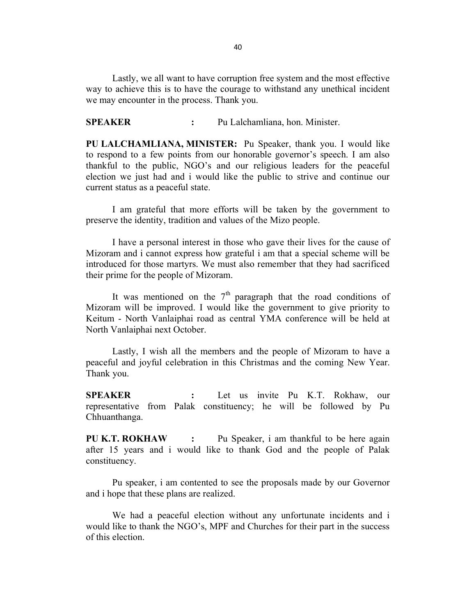Lastly, we all want to have corruption free system and the most effective way to achieve this is to have the courage to withstand any unethical incident we may encounter in the process. Thank you.

SPEAKER : Pu Lalchamliana, hon. Minister.

PU LALCHAMLIANA, MINISTER: Pu Speaker, thank you. I would like to respond to a few points from our honorable governor's speech. I am also thankful to the public, NGO's and our religious leaders for the peaceful election we just had and i would like the public to strive and continue our current status as a peaceful state.

 I am grateful that more efforts will be taken by the government to preserve the identity, tradition and values of the Mizo people.

 I have a personal interest in those who gave their lives for the cause of Mizoram and i cannot express how grateful i am that a special scheme will be introduced for those martyrs. We must also remember that they had sacrificed their prime for the people of Mizoram.

It was mentioned on the  $7<sup>th</sup>$  paragraph that the road conditions of Mizoram will be improved. I would like the government to give priority to Keitum - North Vanlaiphai road as central YMA conference will be held at North Vanlaiphai next October.

 Lastly, I wish all the members and the people of Mizoram to have a peaceful and joyful celebration in this Christmas and the coming New Year. Thank you.

SPEAKER : Let us invite Pu K.T. Rokhaw, our representative from Palak constituency; he will be followed by Pu Chhuanthanga.

PU K.T. ROKHAW : Pu Speaker, i am thankful to be here again after 15 years and i would like to thank God and the people of Palak constituency.

 Pu speaker, i am contented to see the proposals made by our Governor and i hope that these plans are realized.

 We had a peaceful election without any unfortunate incidents and i would like to thank the NGO's, MPF and Churches for their part in the success of this election.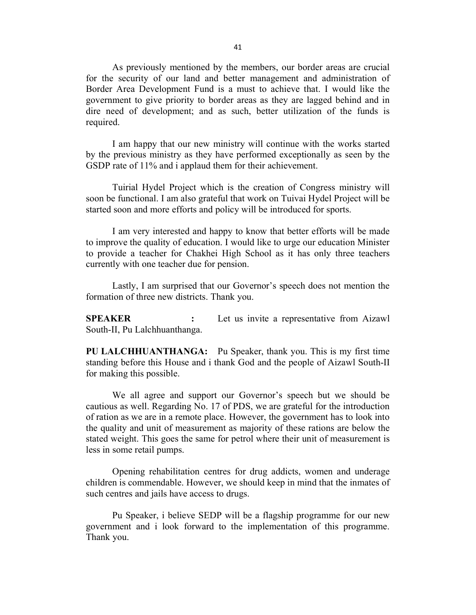As previously mentioned by the members, our border areas are crucial for the security of our land and better management and administration of Border Area Development Fund is a must to achieve that. I would like the government to give priority to border areas as they are lagged behind and in dire need of development; and as such, better utilization of the funds is required.

 I am happy that our new ministry will continue with the works started by the previous ministry as they have performed exceptionally as seen by the GSDP rate of 11% and i applaud them for their achievement.

 Tuirial Hydel Project which is the creation of Congress ministry will soon be functional. I am also grateful that work on Tuivai Hydel Project will be started soon and more efforts and policy will be introduced for sports.

 I am very interested and happy to know that better efforts will be made to improve the quality of education. I would like to urge our education Minister to provide a teacher for Chakhei High School as it has only three teachers currently with one teacher due for pension.

 Lastly, I am surprised that our Governor's speech does not mention the formation of three new districts. Thank you.

SPEAKER : Let us invite a representative from Aizawl South-II, Pu Lalchhuanthanga.

PU LALCHHUANTHANGA: Pu Speaker, thank you. This is my first time standing before this House and i thank God and the people of Aizawl South-II for making this possible.

 We all agree and support our Governor's speech but we should be cautious as well. Regarding No. 17 of PDS, we are grateful for the introduction of ration as we are in a remote place. However, the government has to look into the quality and unit of measurement as majority of these rations are below the stated weight. This goes the same for petrol where their unit of measurement is less in some retail pumps.

 Opening rehabilitation centres for drug addicts, women and underage children is commendable. However, we should keep in mind that the inmates of such centres and jails have access to drugs.

 Pu Speaker, i believe SEDP will be a flagship programme for our new government and i look forward to the implementation of this programme. Thank you.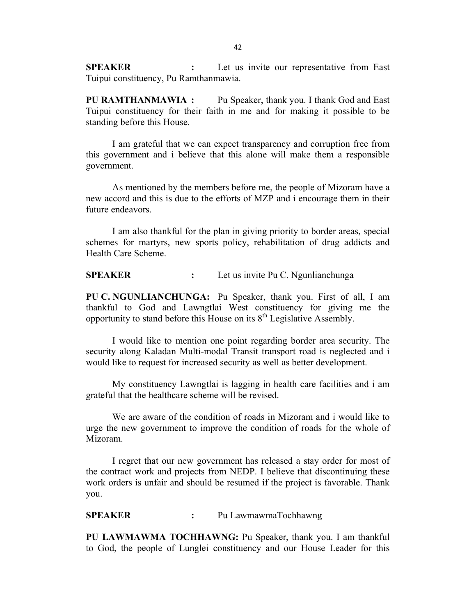**SPEAKER** : Let us invite our representative from East Tuipui constituency, Pu Ramthanmawia.

PU RAMTHANMAWIA : Pu Speaker, thank you. I thank God and East Tuipui constituency for their faith in me and for making it possible to be standing before this House.

 I am grateful that we can expect transparency and corruption free from this government and i believe that this alone will make them a responsible government.

 As mentioned by the members before me, the people of Mizoram have a new accord and this is due to the efforts of MZP and i encourage them in their future endeavors.

 I am also thankful for the plan in giving priority to border areas, special schemes for martyrs, new sports policy, rehabilitation of drug addicts and Health Care Scheme.

SPEAKER : Let us invite Pu C. Ngunlianchunga

PU C. NGUNLIANCHUNGA: Pu Speaker, thank you. First of all, I am thankful to God and Lawngtlai West constituency for giving me the opportunity to stand before this House on its  $8<sup>th</sup>$  Legislative Assembly.

 I would like to mention one point regarding border area security. The security along Kaladan Multi-modal Transit transport road is neglected and i would like to request for increased security as well as better development.

 My constituency Lawngtlai is lagging in health care facilities and i am grateful that the healthcare scheme will be revised.

 We are aware of the condition of roads in Mizoram and i would like to urge the new government to improve the condition of roads for the whole of Mizoram.

 I regret that our new government has released a stay order for most of the contract work and projects from NEDP. I believe that discontinuing these work orders is unfair and should be resumed if the project is favorable. Thank you.

SPEAKER : Pu LawmawmaTochhawng

PU LAWMAWMA TOCHHAWNG: Pu Speaker, thank you. I am thankful to God, the people of Lunglei constituency and our House Leader for this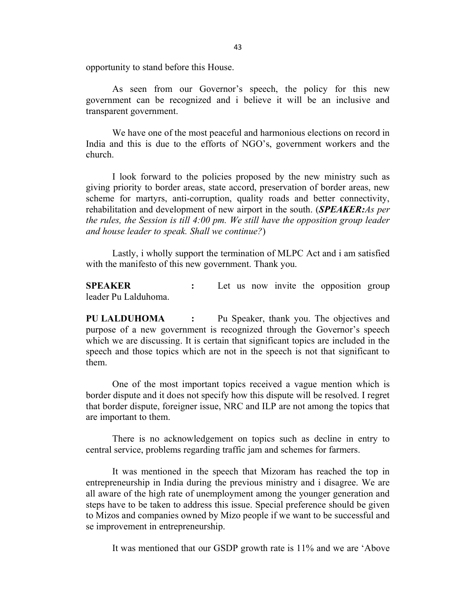opportunity to stand before this House.

 As seen from our Governor's speech, the policy for this new government can be recognized and i believe it will be an inclusive and transparent government.

 We have one of the most peaceful and harmonious elections on record in India and this is due to the efforts of NGO's, government workers and the church.

 I look forward to the policies proposed by the new ministry such as giving priority to border areas, state accord, preservation of border areas, new scheme for martyrs, anti-corruption, quality roads and better connectivity, rehabilitation and development of new airport in the south. (**SPEAKER:**As per the rules, the Session is till 4:00 pm. We still have the opposition group leader and house leader to speak. Shall we continue?)

 Lastly, i wholly support the termination of MLPC Act and i am satisfied with the manifesto of this new government. Thank you.

SPEAKER : Let us now invite the opposition group leader Pu Lalduhoma.

PU LALDUHOMA : Pu Speaker, thank you. The objectives and purpose of a new government is recognized through the Governor's speech which we are discussing. It is certain that significant topics are included in the speech and those topics which are not in the speech is not that significant to them.

 One of the most important topics received a vague mention which is border dispute and it does not specify how this dispute will be resolved. I regret that border dispute, foreigner issue, NRC and ILP are not among the topics that are important to them.

 There is no acknowledgement on topics such as decline in entry to central service, problems regarding traffic jam and schemes for farmers.

 It was mentioned in the speech that Mizoram has reached the top in entrepreneurship in India during the previous ministry and i disagree. We are all aware of the high rate of unemployment among the younger generation and steps have to be taken to address this issue. Special preference should be given to Mizos and companies owned by Mizo people if we want to be successful and se improvement in entrepreneurship.

It was mentioned that our GSDP growth rate is 11% and we are 'Above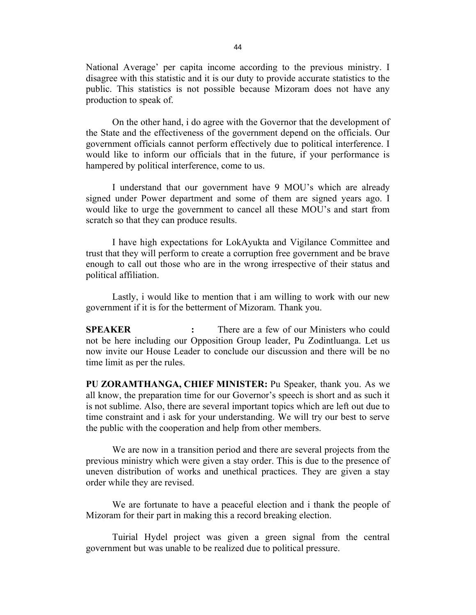National Average' per capita income according to the previous ministry. I disagree with this statistic and it is our duty to provide accurate statistics to the public. This statistics is not possible because Mizoram does not have any production to speak of.

 On the other hand, i do agree with the Governor that the development of the State and the effectiveness of the government depend on the officials. Our government officials cannot perform effectively due to political interference. I would like to inform our officials that in the future, if your performance is hampered by political interference, come to us.

 I understand that our government have 9 MOU's which are already signed under Power department and some of them are signed years ago. I would like to urge the government to cancel all these MOU's and start from scratch so that they can produce results.

 I have high expectations for LokAyukta and Vigilance Committee and trust that they will perform to create a corruption free government and be brave enough to call out those who are in the wrong irrespective of their status and political affiliation.

 Lastly, i would like to mention that i am willing to work with our new government if it is for the betterment of Mizoram. Thank you.

SPEAKER : There are a few of our Ministers who could not be here including our Opposition Group leader, Pu Zodintluanga. Let us now invite our House Leader to conclude our discussion and there will be no time limit as per the rules.

PU ZORAMTHANGA, CHIEF MINISTER: Pu Speaker, thank you. As we all know, the preparation time for our Governor's speech is short and as such it is not sublime. Also, there are several important topics which are left out due to time constraint and i ask for your understanding. We will try our best to serve the public with the cooperation and help from other members.

 We are now in a transition period and there are several projects from the previous ministry which were given a stay order. This is due to the presence of uneven distribution of works and unethical practices. They are given a stay order while they are revised.

 We are fortunate to have a peaceful election and i thank the people of Mizoram for their part in making this a record breaking election.

 Tuirial Hydel project was given a green signal from the central government but was unable to be realized due to political pressure.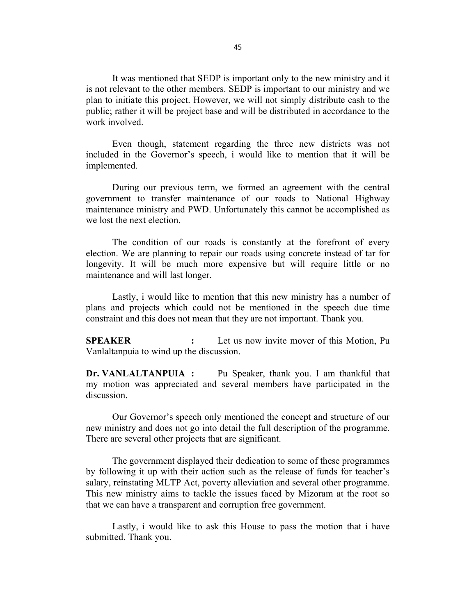It was mentioned that SEDP is important only to the new ministry and it is not relevant to the other members. SEDP is important to our ministry and we plan to initiate this project. However, we will not simply distribute cash to the public; rather it will be project base and will be distributed in accordance to the work involved.

 Even though, statement regarding the three new districts was not included in the Governor's speech, i would like to mention that it will be implemented.

 During our previous term, we formed an agreement with the central government to transfer maintenance of our roads to National Highway maintenance ministry and PWD. Unfortunately this cannot be accomplished as we lost the next election.

 The condition of our roads is constantly at the forefront of every election. We are planning to repair our roads using concrete instead of tar for longevity. It will be much more expensive but will require little or no maintenance and will last longer.

 Lastly, i would like to mention that this new ministry has a number of plans and projects which could not be mentioned in the speech due time constraint and this does not mean that they are not important. Thank you.

SPEAKER : Let us now invite mover of this Motion, Pu Vanlaltanpuia to wind up the discussion.

Dr. VANLALTANPUIA : Pu Speaker, thank you. I am thankful that my motion was appreciated and several members have participated in the discussion.

 Our Governor's speech only mentioned the concept and structure of our new ministry and does not go into detail the full description of the programme. There are several other projects that are significant.

 The government displayed their dedication to some of these programmes by following it up with their action such as the release of funds for teacher's salary, reinstating MLTP Act, poverty alleviation and several other programme. This new ministry aims to tackle the issues faced by Mizoram at the root so that we can have a transparent and corruption free government.

 Lastly, i would like to ask this House to pass the motion that i have submitted. Thank you.